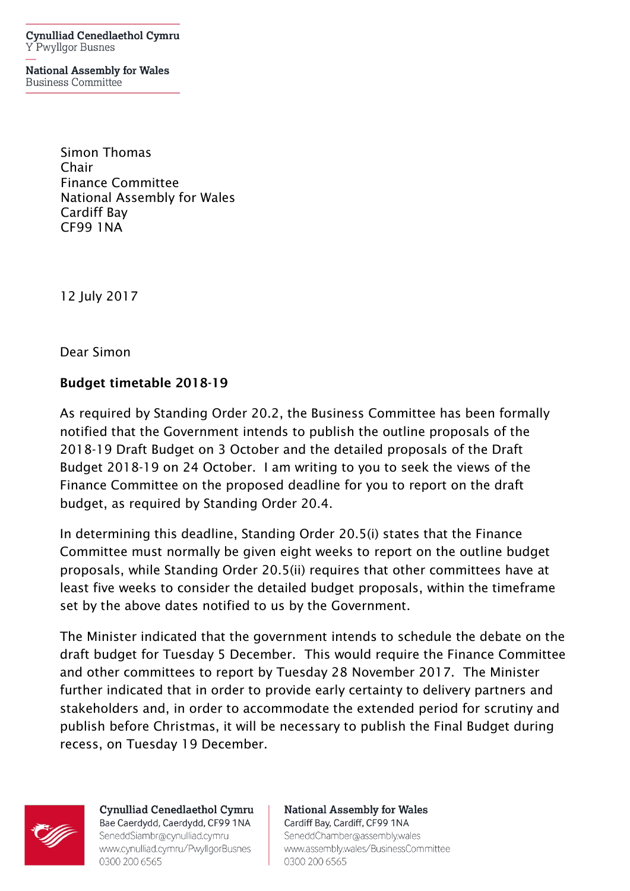Cynulliad Cenedlaethol Cymru Y Pwyllgor Busnes

**National Assembly for Wales Business Committee** 

> Simon Thomas Chair Finance Committee National Assembly for Wales Cardiff Bay CF99 1NA

12 July 2017

Dear Simon

## Budget timetable 2018-19

As required by Standing Order 20.2, the Business Committee has been formally notified that the Government intends to publish the outline proposals of the 2018-19 Draft Budget on 3 October and the detailed proposals of the Draft Budget 2018-19 on 24 October. I am writing to you to seek the views of the Finance Committee on the proposed deadline for you to report on the draft budget, as required by Standing Order 20.4.

In determining this deadline, Standing Order 20.5(i) states that the Finance Committee must normally be given eight weeks to report on the outline budget proposals, while Standing Order 20.5(ii) requires that other committees have at least five weeks to consider the detailed budget proposals, within the timeframe set by the above dates notified to us by the Government.

The Minister indicated that the government intends to schedule the debate on the draft budget for Tuesday 5 December. This would require the Finance Committee and other committees to report by Tuesday 28 November 2017. The Minister further indicated that in order to provide early certainty to delivery partners and stakeholders and, in order to accommodate the extended period for scrutiny and publish before Christmas, it will be necessary to publish the Final Budget during recess, on Tuesday 19 December.



Cynulliad Cenedlaethol Cymru Bae Caerdydd, Caerdydd, CF99 1NA SeneddSiambr@cynulliad.cymru www.cynulliad.cymru/PwyllgorBusnes 0300 200 6565

**National Assembly for Wales** Cardiff Bay, Cardiff, CF99 1NA SeneddChamber@assembly.wales www.assembly.wales/BusinessCommittee 0300 200 6565